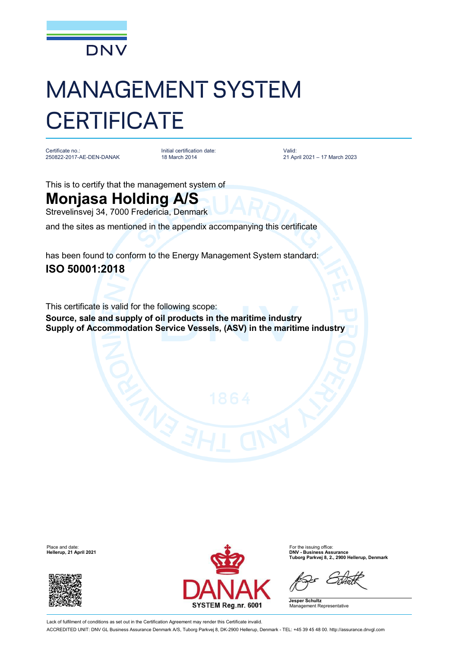

## MANAGEMENT SYSTEM **CERTIFICATE**

Certificate no.: 250822-2017-AE-DEN-DANAK Initial certification date: 18 March 2014

Valid: 21 April 2021 – 17 March 2023

This is to certify that the management system of

## **Monjasa Holding A/S**

Strevelinsvej 34, 7000 Fredericia, Denmark

and the sites as mentioned in the appendix accompanying this certificate

has been found to conform to the Energy Management System standard: **ISO 50001:2018**

This certificate is valid for the following scope: **Source, sale and supply of oil products in the maritime industry Supply of Accommodation Service Vessels, (ASV) in the maritime industry**

**Hellerup, 21 April 2021** 





**Tuborg Parkvej 8, 2., 2900 Hellerup, Denmark**

**Jesper Schultz** Management Representative

Lack of fulfilment of conditions as set out in the Certification Agreement may render this Certificate invalid. ACCREDITED UNIT: DNV GL Business Assurance Denmark A/S, Tuborg Parkvej 8, DK-2900 Hellerup, Denmark - TEL: +45 39 45 48 00. <http://assurance.dnvgl.com>